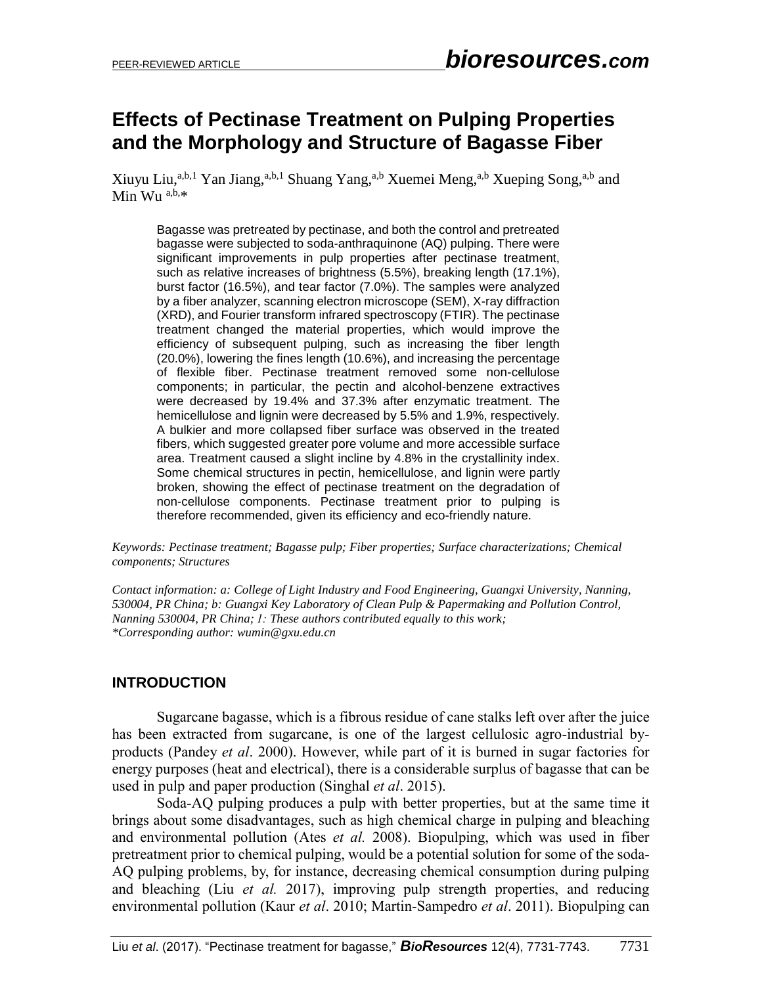# **Effects of Pectinase Treatment on Pulping Properties and the Morphology and Structure of Bagasse Fiber**

Xiuyu Liu,<sup>a,b,1</sup> Yan Jiang,<sup>a,b,1</sup> Shuang Yang,<sup>a,b</sup> Xuemei Meng,<sup>a,b</sup> Xueping Song,<sup>a,b</sup> and Min Wu  $a,b,*$ 

Bagasse was pretreated by pectinase, and both the control and pretreated bagasse were subjected to soda-anthraquinone (AQ) pulping. There were significant improvements in pulp properties after pectinase treatment, such as relative increases of brightness (5.5%), breaking length (17.1%), burst factor (16.5%), and tear factor (7.0%). The samples were analyzed by a fiber analyzer, scanning electron microscope (SEM), X-ray diffraction (XRD), and Fourier transform infrared spectroscopy (FTIR). The pectinase treatment changed the material properties, which would improve the efficiency of subsequent pulping, such as increasing the fiber length (20.0%), lowering the fines length (10.6%), and increasing the percentage of flexible fiber. Pectinase treatment removed some non-cellulose components; in particular, the pectin and alcohol-benzene extractives were decreased by 19.4% and 37.3% after enzymatic treatment. The hemicellulose and lignin were decreased by 5.5% and 1.9%, respectively. A bulkier and more collapsed fiber surface was observed in the treated fibers, which suggested greater pore volume and more accessible surface area. Treatment caused a slight incline by 4.8% in the crystallinity index. Some chemical structures in pectin, hemicellulose, and lignin were partly broken, showing the effect of pectinase treatment on the degradation of non-cellulose components. Pectinase treatment prior to pulping is therefore recommended, given its efficiency and eco-friendly nature.

*Keywords: Pectinase treatment; Bagasse pulp; Fiber properties; Surface characterizations; Chemical components; Structures*

*Contact information: a: College of Light Industry and Food Engineering, Guangxi University, Nanning, 530004, PR China; b: Guangxi Key Laboratory of Clean Pulp & Papermaking and Pollution Control, Nanning 530004, PR China; 1: These authors contributed equally to this work; \*Corresponding author: wumin@gxu.edu.cn*

## **INTRODUCTION**

Sugarcane bagasse, which is a fibrous residue of cane stalks left over after the juice has been extracted from sugarcane, is one of the largest cellulosic agro-industrial byproducts [\(Pandey](#page-11-0) *et al*. 2000). However, while part of it is burned in sugar factories for energy purposes (heat and electrical), there is a considerable surplus of bagasse that can be used in pulp and paper production [\(Singhal](#page-12-0) *et al*. 2015).

Soda-AQ pulping produces a pulp with better properties, but at the same time it brings about some disadvantages, such as high chemical charge in pulping and bleaching and environmental pollution [\(Ates](#page-10-0) *et al.* 2008). Biopulping, which was used in fiber pretreatment prior to chemical pulping, would be a potential solution for some of the soda-AQ pulping problems, by, for instance, decreasing chemical consumption during pulping and bleaching (Liu *et al.* 2017), improving pulp strength properties, and reducing environmental pollution (Kaur *et al*[. 2010;](#page-10-1) [Martin-Sampedro](#page-11-1) *et al*. 2011). Biopulping can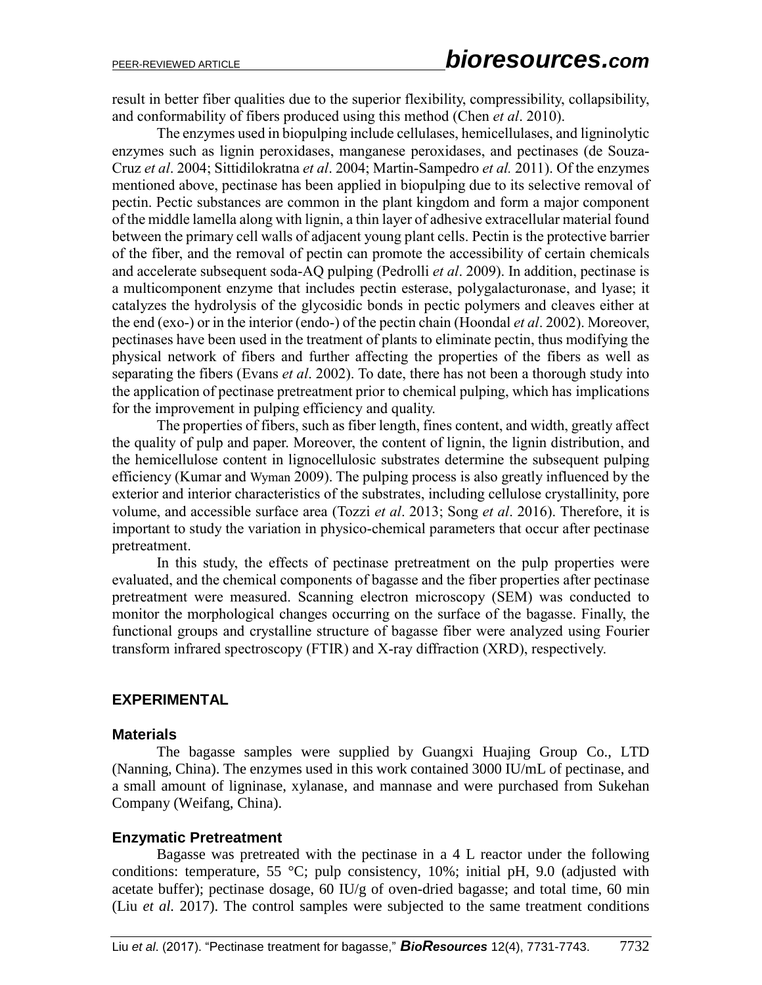result in better fiber qualities due to the superior flexibility, compressibility, collapsibility, and conformability of fibers produced using this method (Chen *et al*[. 2010\)](#page-10-2).

The enzymes used in biopulping include cellulases, hemicellulases, and ligninolytic enzymes such as lignin peroxidases, manganese peroxidases, and pectinases [\(de Souza-](#page-10-3)Cruz *et al*[. 2004;](#page-10-3) [Sittidilokratna](#page-12-1) *et al*. 2004; [Martin-Sampedro](#page-11-1) *et al.* 2011). Of the enzymes mentioned above, pectinase has been applied in biopulping due to its selective removal of pectin. Pectic substances are common in the plant kingdom and form a major component of the middle lamella along with lignin, a thin layer of adhesive extracellular material found between the primary cell walls of adjacent young plant cells. Pectin is the protective barrier of the fiber, and the removal of pectin can promote the accessibility of certain chemicals and accelerate subsequent soda-AQ pulping [\(Pedrolli](#page-11-2) *et al*. 2009). In addition, pectinase is a multicomponent enzyme that includes pectin esterase, polygalacturonase, and lyase; it catalyzes the hydrolysis of the glycosidic bonds in pectic polymers and cleaves either at the end (exo-) or in the interior (endo-) of the pectin chain [\(Hoondal](#page-10-4) *et al*. 2002). Moreover, pectinases have been used in the treatment of plants to eliminate pectin, thus modifying the physical network of fibers and further affecting the properties of the fibers as well as separating the fibers [\(Evans](#page-10-5) *et al*. 2002). To date, there has not been a thorough study into the application of pectinase pretreatment prior to chemical pulping, which has implications for the improvement in pulping efficiency and quality.

The properties of fibers, such as fiber length, fines content, and width, greatly affect the quality of pulp and paper. Moreover, the content of lignin, the lignin distribution, and the hemicellulose content in lignocellulosic substrates determine the subsequent pulping efficiency [\(Kumar](#page-10-6) and Wyman 2009). The pulping process is also greatly influenced by the exterior and interior characteristics of the substrates, including cellulose crystallinity, pore volume, and accessible surface area (Tozzi *et al*[. 2013;](#page-12-2) Song *et al*[. 2016\)](#page-12-3). Therefore, it is important to study the variation in physico-chemical parameters that occur after pectinase pretreatment.

In this study, the effects of pectinase pretreatment on the pulp properties were evaluated, and the chemical components of bagasse and the fiber properties after pectinase pretreatment were measured. Scanning electron microscopy (SEM) was conducted to monitor the morphological changes occurring on the surface of the bagasse. Finally, the functional groups and crystalline structure of bagasse fiber were analyzed using Fourier transform infrared spectroscopy (FTIR) and X-ray diffraction (XRD), respectively.

## **EXPERIMENTAL**

## **Materials**

The bagasse samples were supplied by Guangxi Huajing Group Co., LTD (Nanning, China). The enzymes used in this work contained 3000 IU/mL of pectinase, and a small amount of ligninase, xylanase, and mannase and were purchased from Sukehan Company (Weifang, China).

## **Enzymatic Pretreatment**

Bagasse was pretreated with the pectinase in a 4 L reactor under the following conditions: temperature, 55 °C; pulp consistency, 10%; initial pH, 9.0 (adjusted with acetate buffer); pectinase dosage, 60 IU/g of oven-dried bagasse; and total time, 60 min (Liu *et al.* 2017). The control samples were subjected to the same treatment conditions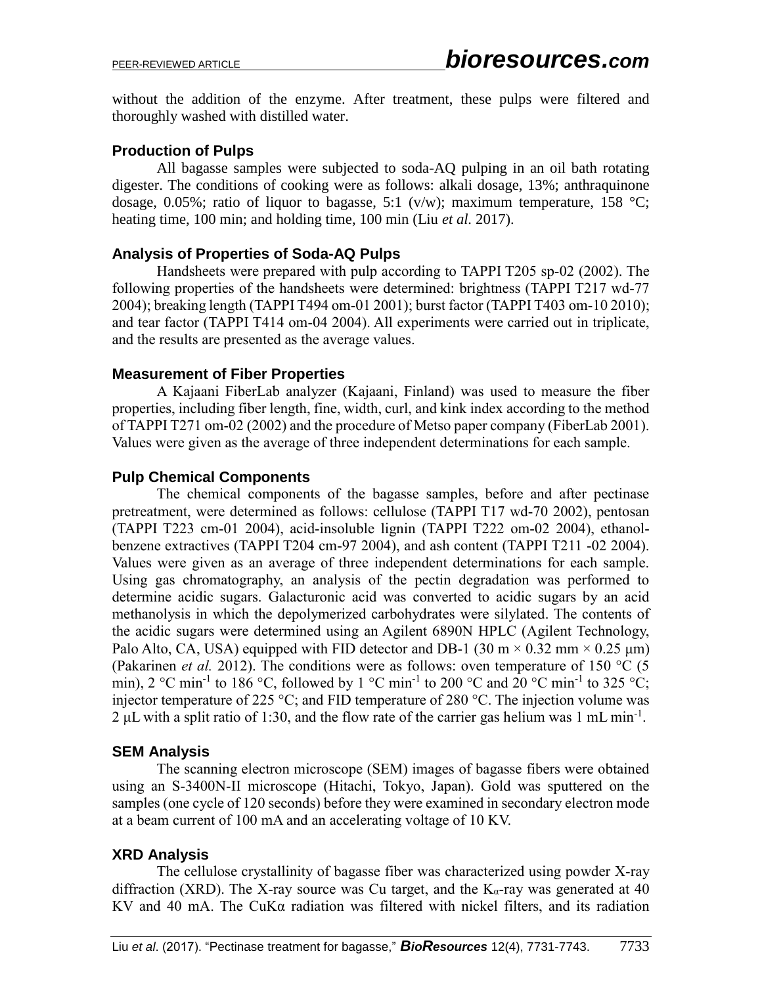without the addition of the enzyme. After treatment, these pulps were filtered and thoroughly washed with distilled water.

## **Production of Pulps**

All bagasse samples were subjected to soda-AQ pulping in an oil bath rotating digester. The conditions of cooking were as follows: alkali dosage, 13%; anthraquinone dosage, 0.05%; ratio of liquor to bagasse, 5:1 (v/w); maximum temperature, 158 °C; heating time, 100 min; and holding time, 100 min (Liu *et al.* 2017).

## **Analysis of Properties of Soda-AQ Pulps**

Handsheets were prepared with pulp according to TAPPI T205 sp-02 (2002). The following properties of the handsheets were determined: brightness (TAPPI T217 wd-77 2004); breaking length (TAPPI T494 om-01 2001); burst factor (TAPPI T403 om-10 2010); and tear factor (TAPPI T414 om-04 2004). All experiments were carried out in triplicate, and the results are presented as the average values.

## **Measurement of Fiber Properties**

A Kajaani FiberLab analyzer (Kajaani, Finland) was used to measure the fiber properties, including fiber length, fine, width, curl, and kink index according to the method of TAPPI T271 om-02 (2002) and the procedure of Metso paper company [\(FiberLab 2001\)](#page-10-7). Values were given as the average of three independent determinations for each sample.

## **Pulp Chemical Components**

The chemical components of the bagasse samples, before and after pectinase pretreatment, were determined as follows: cellulose (TAPPI T17 wd-70 2002), pentosan (TAPPI T223 cm-01 2004), acid-insoluble lignin (TAPPI T222 om-02 2004), ethanolbenzene extractives (TAPPI T204 cm-97 2004), and ash content (TAPPI T211 -02 2004). Values were given as an average of three independent determinations for each sample. Using gas chromatography, an analysis of the pectin degradation was performed to determine acidic sugars. Galacturonic acid was converted to acidic sugars by an acid methanolysis in which the depolymerized carbohydrates were silylated. The contents of the acidic sugars were determined using an Agilent 6890N HPLC (Agilent Technology, Palo Alto, CA, USA) equipped with FID detector and DB-1 (30 m  $\times$  0.32 mm  $\times$  0.25 µm) [\(Pakarinen](#page-11-3) *et al.* 2012). The conditions were as follows: oven temperature of 150 °C (5 min), 2 °C min<sup>-1</sup> to 186 °C, followed by 1 °C min<sup>-1</sup> to 200 °C and 20 °C min<sup>-1</sup> to 325 °C; injector temperature of 225 °C; and FID temperature of 280 °C. The injection volume was  $2 \mu L$  with a split ratio of 1:30, and the flow rate of the carrier gas helium was 1 mL min<sup>-1</sup>.

## **SEM Analysis**

The scanning electron microscope (SEM) images of bagasse fibers were obtained using an S-3400N-II microscope (Hitachi, Tokyo, Japan). Gold was sputtered on the samples (one cycle of 120 seconds) before they were examined in secondary electron mode at a beam current of 100 mA and an accelerating voltage of 10 KV.

## **XRD Analysis**

The cellulose crystallinity of bagasse fiber was characterized using powder X-ray diffraction (XRD). The X-ray source was Cu target, and the  $K_{\alpha}$ -ray was generated at 40 KV and 40 mA. The CuK $\alpha$  radiation was filtered with nickel filters, and its radiation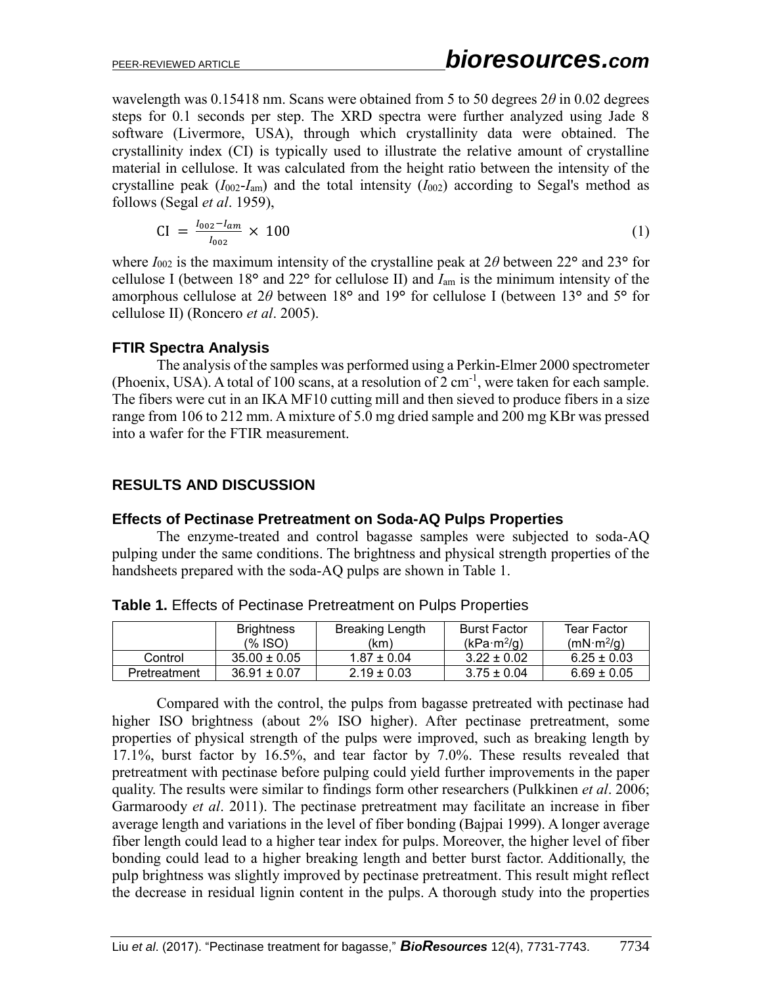wavelength was 0.15418 nm. Scans were obtained from 5 to 50 degrees 2*θ* in 0.02 degrees steps for 0.1 seconds per step. The XRD spectra were further analyzed using Jade 8 software (Livermore, USA), through which crystallinity data were obtained. The crystallinity index (CI) is typically used to illustrate the relative amount of crystalline material in cellulose. It was calculated from the height ratio between the intensity of the crystalline peak  $(I_{002} - I_{am})$  and the total intensity  $(I_{002})$  according to Segal's method as follows [\(Segal](#page-12-4) *et al*. 1959),

$$
CI = \frac{I_{002} - I_{am}}{I_{002}} \times 100
$$
 (1)

where  $I_{002}$  is the maximum intensity of the crystalline peak at  $2\theta$  between  $22^{\circ}$  and  $23^{\circ}$  for cellulose I (between 18**°** and 22**°** for cellulose II) and *I*am is the minimum intensity of the amorphous cellulose at 2*θ* between 18**°** and 19**°** for cellulose I (between 13**°** and 5**°** for cellulose II) [\(Roncero](#page-12-5) *et al*. 2005).

## **FTIR Spectra Analysis**

The analysis of the samples was performed using a Perkin-Elmer 2000 spectrometer (Phoenix, USA). A total of 100 scans, at a resolution of 2 cm<sup>-1</sup>, were taken for each sample. The fibers were cut in an IKA MF10 cutting mill and then sieved to produce fibers in a size range from 106 to 212 mm. Amixture of 5.0 mg dried sample and 200 mg KBr was pressed into a wafer for the FTIR measurement.

## **RESULTS AND DISCUSSION**

## **Effects of Pectinase Pretreatment on Soda-AQ Pulps Properties**

The enzyme-treated and control bagasse samples were subjected to soda-AQ pulping under the same conditions. The brightness and physical strength properties of the handsheets prepared with the soda-AQ pulps are shown in Table 1.

|              | <b>Brightness</b><br>(% ISO) | Breaking Length<br>(km) | <b>Burst Factor</b><br>(kPa·m <sup>2</sup> /g) | Tear Factor<br>(mN·m <sup>2</sup> /g) |
|--------------|------------------------------|-------------------------|------------------------------------------------|---------------------------------------|
| Control      | $35.00 \pm 0.05$             | $1.87 \pm 0.04$         | $3.22 \pm 0.02$                                | $6.25 \pm 0.03$                       |
| Pretreatment | $36.91 \pm 0.07$             | $2.19 \pm 0.03$         | $3.75 \pm 0.04$                                | $6.69 \pm 0.05$                       |

**Table 1.** Effects of Pectinase Pretreatment on Pulps Properties

Compared with the control, the pulps from bagasse pretreated with pectinase had higher ISO brightness (about 2% ISO higher). After pectinase pretreatment, some properties of physical strength of the pulps were improved, such as breaking length by 17.1%, burst factor by 16.5%, and tear factor by 7.0%. These results revealed that pretreatment with pectinase before pulping could yield further improvements in the paper quality. The results were similar to findings form other researchers [\(Pulkkinen](#page-11-4) *et al*. 2006; [Garmaroody](#page-10-8) *et al*. 2011). The pectinase pretreatment may facilitate an increase in fiber average length and variations in the level of fiber bonding [\(Bajpai 1999\)](#page-10-0). A longer average fiber length could lead to a higher tear index for pulps. Moreover, the higher level of fiber bonding could lead to a higher breaking length and better burst factor. Additionally, the pulp brightness was slightly improved by pectinase pretreatment. This result might reflect the decrease in residual lignin content in the pulps. A thorough study into the properties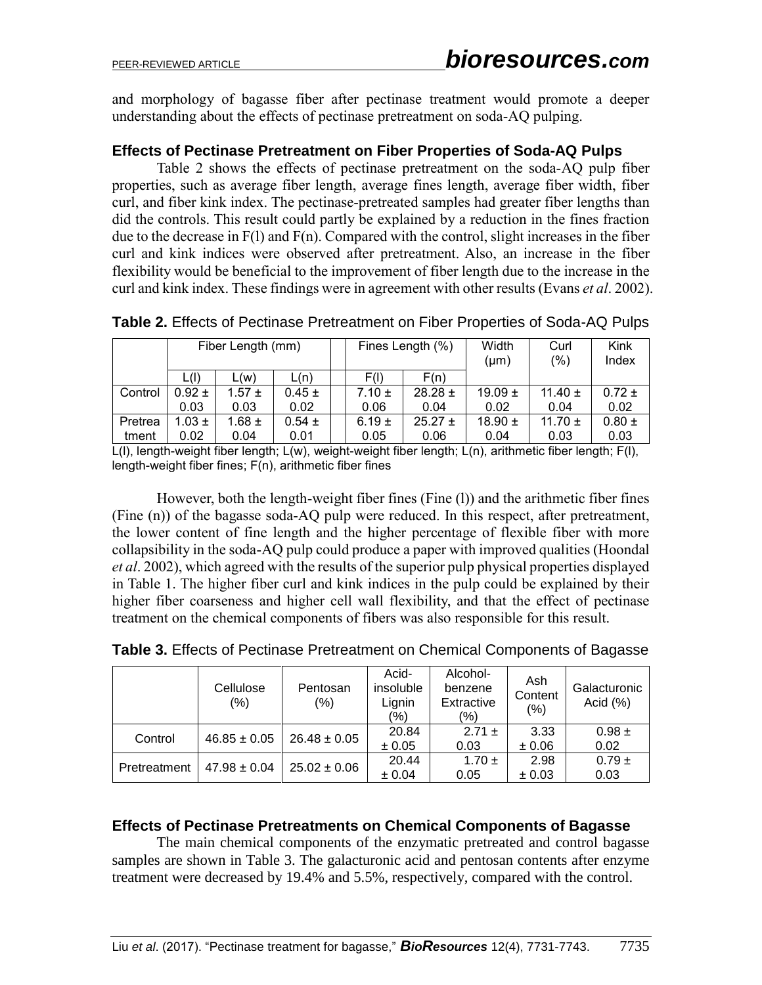and morphology of bagasse fiber after pectinase treatment would promote a deeper understanding about the effects of pectinase pretreatment on soda-AQ pulping.

#### **Effects of Pectinase Pretreatment on Fiber Properties of Soda-AQ Pulps**

Table 2 shows the effects of pectinase pretreatment on the soda-AQ pulp fiber properties, such as average fiber length, average fines length, average fiber width, fiber curl, and fiber kink index. The pectinase-pretreated samples had greater fiber lengths than did the controls. This result could partly be explained by a reduction in the fines fraction due to the decrease in  $F(1)$  and  $F(n)$ . Compared with the control, slight increases in the fiber curl and kink indices were observed after pretreatment. Also, an increase in the fiber flexibility would be beneficial to the improvement of fiber length due to the increase in the curl and kink index. These findings were in agreement with other results [\(Evans](#page-10-5) *et al*. 2002).

|         |            | Fiber Length (mm) |            | Fines Length (%) |            | Width<br>$(\mu m)$ | Curl<br>(%) | Kink<br>Index |            |
|---------|------------|-------------------|------------|------------------|------------|--------------------|-------------|---------------|------------|
|         | L(I)       | L(W)              | L(n)       |                  | F(1)       | F(n)               |             |               |            |
| Control | $0.92 \pm$ | $1.57 \pm$        | $0.45 \pm$ |                  | $7.10 \pm$ | $28.28 \pm$        | 19.09 $\pm$ | 11.40 $\pm$   | $0.72 +$   |
|         | 0.03       | 0.03              | 0.02       |                  | 0.06       | 0.04               | 0.02        | 0.04          | 0.02       |
| Pretrea | $1.03 \pm$ | $1.68 \pm$        | $0.54 \pm$ |                  | $6.19 \pm$ | $25.27 \pm$        | 18.90 $\pm$ | 11.70 $\pm$   | $0.80 \pm$ |
| tment   | 0.02       | 0.04              | 0.01       |                  | 0.05       | 0.06               | 0.04        | 0.03          | 0.03       |

**Table 2.** Effects of Pectinase Pretreatment on Fiber Properties of Soda-AQ Pulps

L(l), length-weight fiber length; L(w), weight-weight fiber length; L(n), arithmetic fiber length; F(l), length-weight fiber fines; F(n), arithmetic fiber fines

However, both the length-weight fiber fines (Fine (l)) and the arithmetic fiber fines (Fine (n)) of the bagasse soda-AQ pulp were reduced. In this respect, after pretreatment, the lower content of fine length and the higher percentage of flexible fiber with more collapsibility in the soda-AQ pulp could produce a paper with improved qualities [\(Hoondal](#page-10-4)  *et al*[. 2002\)](#page-10-4), which agreed with the results of the superior pulp physical properties displayed in Table 1. The higher fiber curl and kink indices in the pulp could be explained by their higher fiber coarseness and higher cell wall flexibility, and that the effect of pectinase treatment on the chemical components of fibers was also responsible for this result.

|              | Cellulose<br>(%) | Pentosan<br>(%)  | Acid-<br>insoluble<br>Lignin<br>(%) | Alcohol-<br>benzene<br>Extractive<br>(%) | Ash<br>Content<br>(% ) | Galacturonic<br>Acid $(\%)$ |
|--------------|------------------|------------------|-------------------------------------|------------------------------------------|------------------------|-----------------------------|
| Control      | $46.85 \pm 0.05$ | $26.48 \pm 0.05$ | 20.84<br>± 0.05                     | $2.71 +$<br>0.03                         | 3.33<br>$\pm 0.06$     | $0.98 \pm$<br>0.02          |
| Pretreatment | $47.98 \pm 0.04$ | $25.02 \pm 0.06$ | 20.44<br>± 0.04                     | $1.70 \pm$<br>0.05                       | 2.98<br>$\pm 0.03$     | $0.79 \pm$<br>0.03          |

**Table 3.** Effects of Pectinase Pretreatment on Chemical Components of Bagasse

#### **Effects of Pectinase Pretreatments on Chemical Components of Bagasse**

The main chemical components of the enzymatic pretreated and control bagasse samples are shown in Table 3. The galacturonic acid and pentosan contents after enzyme treatment were decreased by 19.4% and 5.5%, respectively, compared with the control.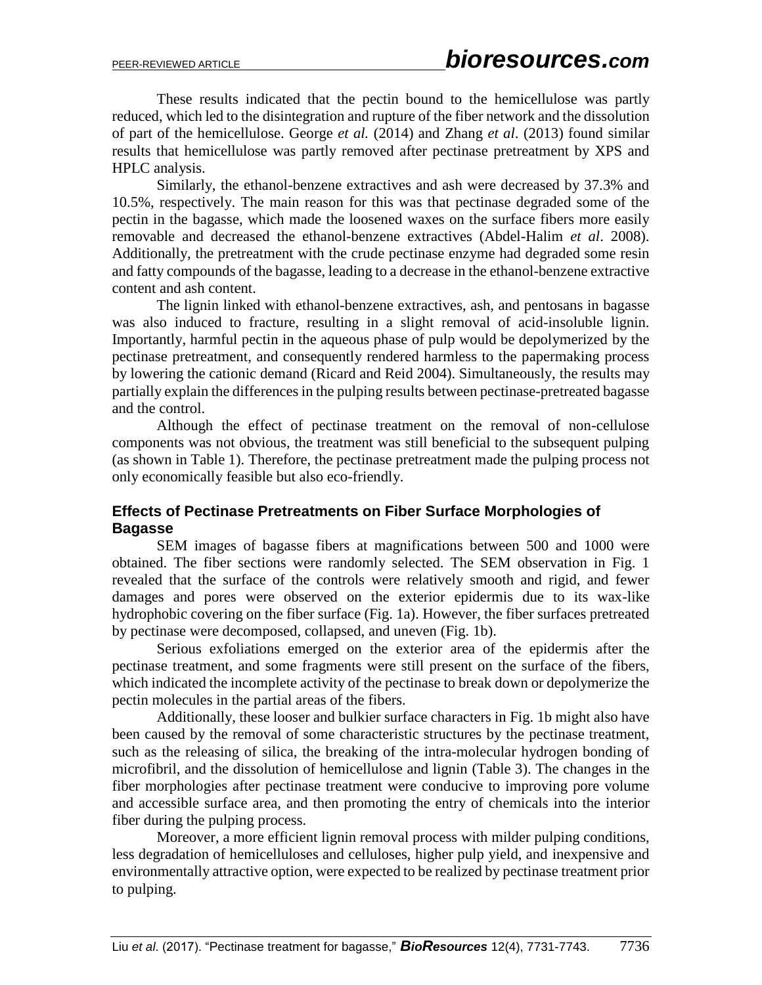These results indicated that the pectin bound to the hemicellulose was partly reduced, which led to the disintegration and rupture of the fiber network and the dissolution of part of the hemicellulose. George *et al.* (2014) and Zhang *et al*. (2013) found similar results that hemicellulose was partly removed after pectinase pretreatment by XPS and HPLC analysis.

Similarly, the ethanol-benzene extractives and ash were decreased by 37.3% and 10.5%, respectively. The main reason for this was that pectinase degraded some of the pectin in the bagasse, which made the loosened waxes on the surface fibers more easily removable and decreased the ethanol-benzene extractives (Abdel-Halim *et al*. 2008). Additionally, the pretreatment with the crude pectinase enzyme had degraded some resin and fatty compounds of the bagasse, leading to a decrease in the ethanol-benzene extractive content and ash content.

The lignin linked with ethanol-benzene extractives, ash, and pentosans in bagasse was also induced to fracture, resulting in a slight removal of acid-insoluble lignin. Importantly, harmful pectin in the aqueous phase of pulp would be depolymerized by the pectinase pretreatment, and consequently rendered harmless to the papermaking process by lowering the cationic demand [\(Ricard and Reid](#page-11-5) 2004). Simultaneously, the results may partially explain the differences in the pulping results between pectinase-pretreated bagasse and the control.

Although the effect of pectinase treatment on the removal of non-cellulose components was not obvious, the treatment was still beneficial to the subsequent pulping (as shown in Table 1). Therefore, the pectinase pretreatment made the pulping process not only economically feasible but also eco-friendly.

## **Effects of Pectinase Pretreatments on Fiber Surface Morphologies of Bagasse**

SEM images of bagasse fibers at magnifications between 500 and 1000 were obtained. The fiber sections were randomly selected. The SEM observation in Fig. 1 revealed that the surface of the controls were relatively smooth and rigid, and fewer damages and pores were observed on the exterior epidermis due to its wax-like hydrophobic covering on the fiber surface (Fig. 1a). However, the fiber surfaces pretreated by pectinase were decomposed, collapsed, and uneven (Fig. 1b).

Serious exfoliations emerged on the exterior area of the epidermis after the pectinase treatment, and some fragments were still present on the surface of the fibers, which indicated the incomplete activity of the pectinase to break down or depolymerize the pectin molecules in the partial areas of the fibers.

Additionally, these looser and bulkier surface characters in Fig. 1b might also have been caused by the removal of some characteristic structures by the pectinase treatment, such as the releasing of silica, the breaking of the intra-molecular hydrogen bonding of microfibril, and the dissolution of hemicellulose and lignin (Table 3). The changes in the fiber morphologies after pectinase treatment were conducive to improving pore volume and accessible surface area, and then promoting the entry of chemicals into the interior fiber during the pulping process.

Moreover, a more efficient lignin removal process with milder pulping conditions, less degradation of hemicelluloses and celluloses, higher pulp yield, and inexpensive and environmentally attractive option, were expected to be realized by pectinase treatment prior to pulping.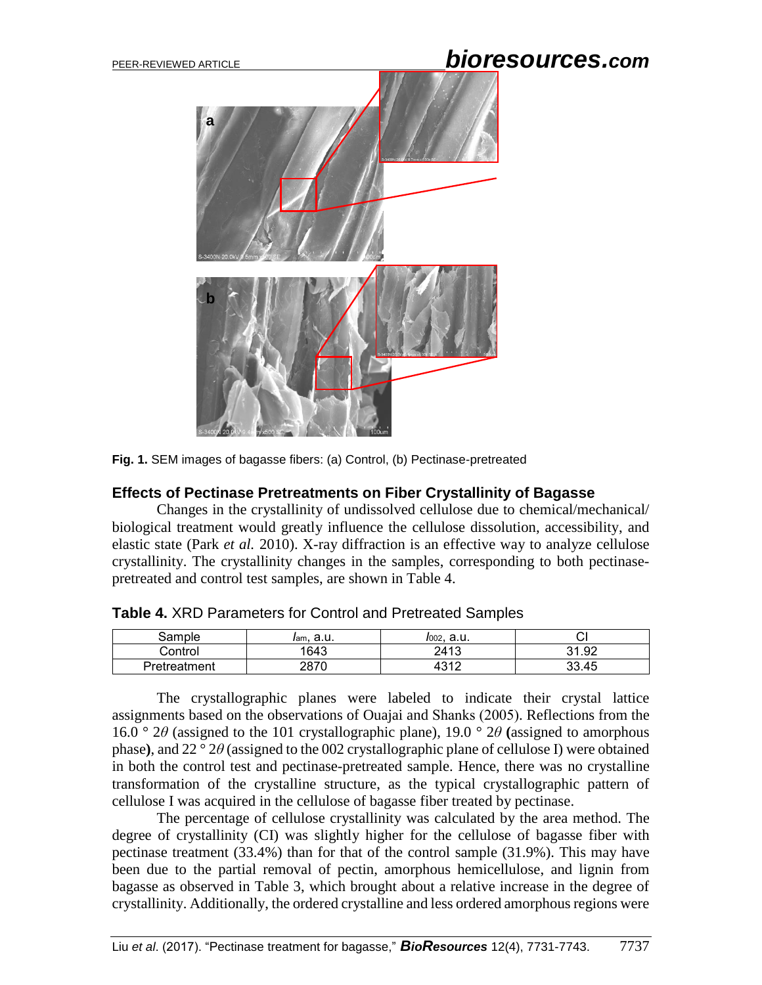# PEER-REVIEWED ARTICLE *bioresources.com*



**Fig. 1.** SEM images of bagasse fibers: (a) Control, (b) Pectinase-pretreated

#### **Effects of Pectinase Pretreatments on Fiber Crystallinity of Bagasse**

Changes in the crystallinity of undissolved cellulose due to chemical/mechanical/ biological treatment would greatly influence the cellulose dissolution, accessibility, and elastic state [\(Park](#page-11-6) *et al.* 2010). X-ray diffraction is an effective way to analyze cellulose crystallinity. The crystallinity changes in the samples, corresponding to both pectinasepretreated and control test samples, are shown in Table 4.

| .ampleذ      | - 11<br>lam, d.u. | .a.u<br>1002, |       |
|--------------|-------------------|---------------|-------|
| Control      | 1643              | 2413          | 31.92 |
| Pretreatment | 2870              | 1010          | 33.45 |

**Table 4.** XRD Parameters for Control and Pretreated Samples

The crystallographic planes were labeled to indicate their crystal lattice assignments based on the observations of Ouajai and Shanks (2005). Reflections from the 16.0  $\degree$  2*θ* (assigned to the 101 crystallographic plane), 19.0  $\degree$  2*θ* (assigned to amorphous phase**)**, and 22 ° 2*θ* (assigned to the 002 crystallographic plane of cellulose I) were obtained in both the control test and pectinase-pretreated sample. Hence, there was no crystalline transformation of the crystalline structure, as the typical crystallographic pattern of cellulose I was acquired in the cellulose of bagasse fiber treated by pectinase.

The percentage of cellulose crystallinity was calculated by the area method. The degree of crystallinity (CI) was slightly higher for the cellulose of bagasse fiber with pectinase treatment (33.4%) than for that of the control sample (31.9%). This may have been due to the partial removal of pectin, amorphous hemicellulose, and lignin from bagasse as observed in Table 3, which brought about a relative increase in the degree of crystallinity. Additionally, the ordered crystalline and less ordered amorphous regions were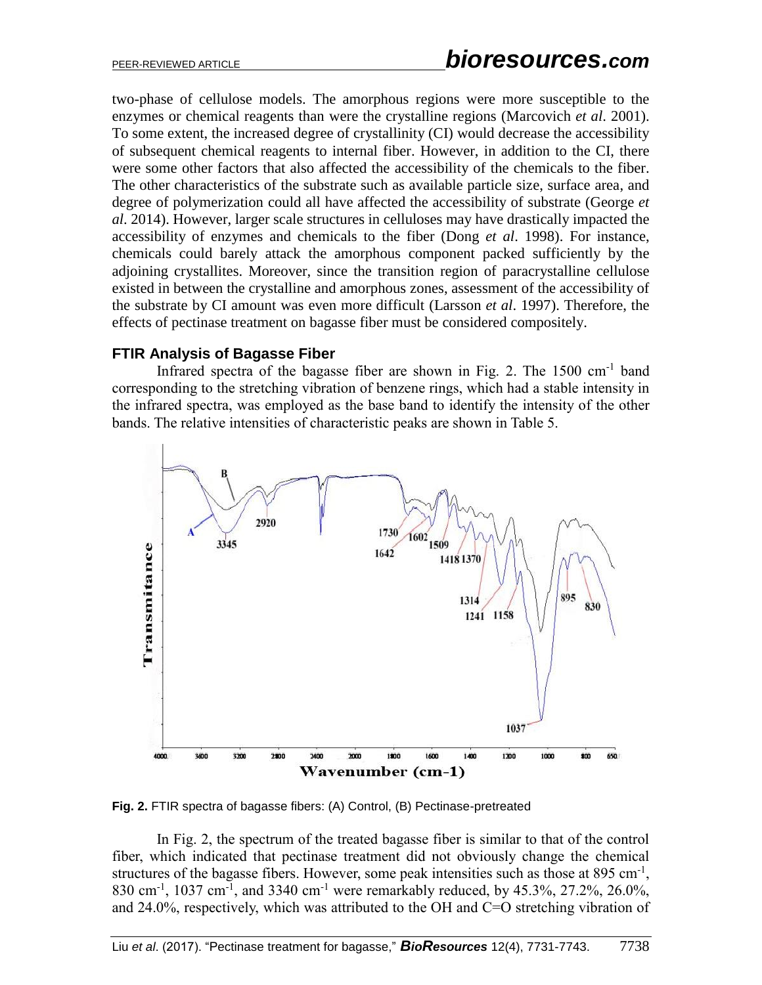two-phase of cellulose models. The amorphous regions were more susceptible to the enzymes or chemical reagents than were the crystalline regions [\(Marcovich](#page-11-7) *et al*. 2001). To some extent, the increased degree of crystallinity (CI) would decrease the accessibility of subsequent chemical reagents to internal fiber. However, in addition to the CI, there were some other factors that also affected the accessibility of the chemicals to the fiber. The other characteristics of the substrate such as available particle size, surface area, and degree of polymerization could all have affected the accessibility of substrate [\(George](#page-10-9) *et al*[. 2014\)](#page-10-9). However, larger scale structures in celluloses may have drastically impacted the accessibility of enzymes and chemicals to the fiber (Dong *et al*[. 1998\)](#page-10-10). For instance, chemicals could barely attack the amorphous component packed sufficiently by the adjoining crystallites. Moreover, since the transition region of paracrystalline cellulose existed in between the crystalline and amorphous zones, assessment of the accessibility of the substrate by CI amount was even more difficult [\(Larsson](#page-11-8) *et al*. 1997). Therefore, the effects of pectinase treatment on bagasse fiber must be considered compositely.

#### **FTIR Analysis of Bagasse Fiber**

Infrared spectra of the bagasse fiber are shown in Fig. 2. The 1500 cm<sup>-1</sup> band corresponding to the stretching vibration of benzene rings, which had a stable intensity in the infrared spectra, was employed as the base band to identify the intensity of the other bands. The relative intensities of characteristic peaks are shown in Table 5.



**Fig. 2.** FTIR spectra of bagasse fibers: (A) Control, (B) Pectinase-pretreated

In Fig. 2, the spectrum of the treated bagasse fiber is similar to that of the control fiber, which indicated that pectinase treatment did not obviously change the chemical structures of the bagasse fibers. However, some peak intensities such as those at 895 cm<sup>-1</sup>, 830 cm<sup>-1</sup>, 1037 cm<sup>-1</sup>, and 3340 cm<sup>-1</sup> were remarkably reduced, by 45.3%, 27.2%, 26.0%, and 24.0%, respectively, which was attributed to the OH and C=O stretching vibration of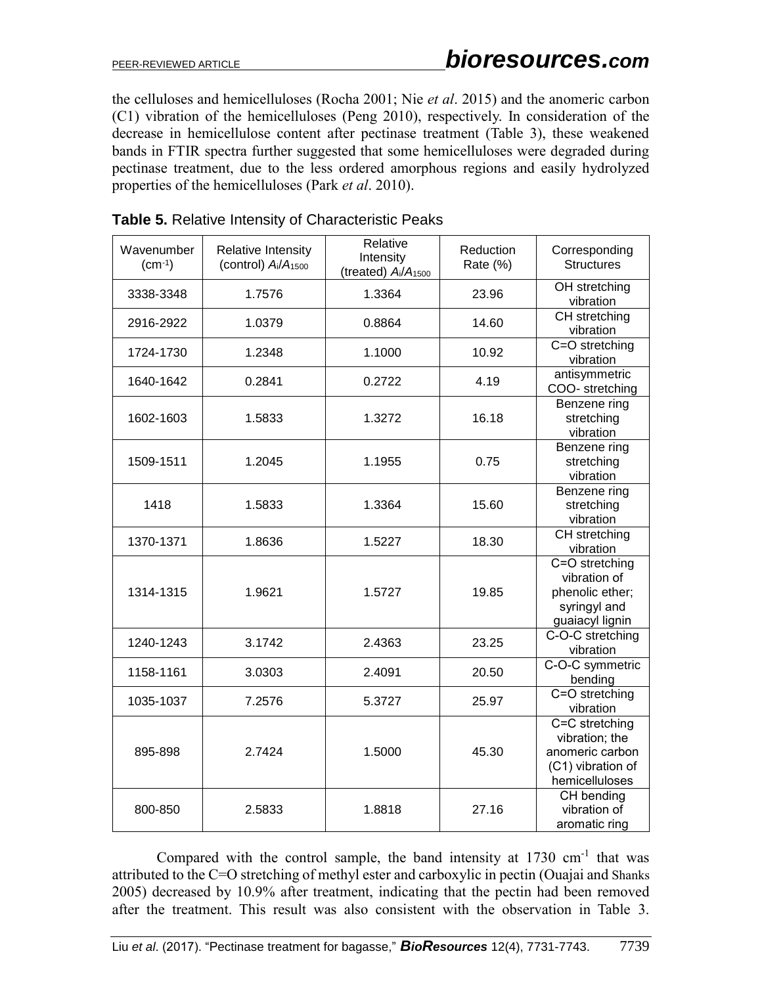the celluloses and hemicelluloses [\(Rocha 2001;](#page-11-9) Nie *et al*. 2015) and the anomeric carbon (C1) vibration of the hemicelluloses [\(Peng 2010\)](#page-11-10), respectively. In consideration of the decrease in hemicellulose content after pectinase treatment (Table 3), these weakened bands in FTIR spectra further suggested that some hemicelluloses were degraded during pectinase treatment, due to the less ordered amorphous regions and easily hydrolyzed properties of the hemicelluloses (Park *et al*. 2010).

| Wavenumber<br>$(cm^{-1})$ | <b>Relative Intensity</b><br>(control) $A_i/A_{1500}$ | Relative<br>Intensity<br>(treated) Ai/A <sub>1500</sub> | Reduction<br>Rate (%) | Corresponding<br><b>Structures</b>                                                         |
|---------------------------|-------------------------------------------------------|---------------------------------------------------------|-----------------------|--------------------------------------------------------------------------------------------|
| 3338-3348                 | 1.7576                                                | 1.3364                                                  | 23.96                 | OH stretching<br>vibration                                                                 |
| 2916-2922                 | 1.0379                                                | 0.8864                                                  | 14.60                 | CH stretching<br>vibration                                                                 |
| 1724-1730                 | 1.2348                                                | 1.1000                                                  | 10.92                 | C=O stretching<br>vibration                                                                |
| 1640-1642                 | 0.2841                                                | 0.2722                                                  | 4.19                  | antisymmetric<br>COO-stretching                                                            |
| 1602-1603                 | 1.5833                                                | 1.3272                                                  | 16.18                 | Benzene ring<br>stretching<br>vibration                                                    |
| 1509-1511                 | 1.2045                                                | 1.1955                                                  | 0.75                  | Benzene ring<br>stretching<br>vibration                                                    |
| 1418                      | 1.5833                                                | 1.3364                                                  | 15.60                 | Benzene ring<br>stretching<br>vibration                                                    |
| 1370-1371                 | 1.8636                                                | 1.5227                                                  | 18.30                 | CH stretching<br>vibration                                                                 |
| 1314-1315                 | 1.9621                                                | 1.5727                                                  | 19.85                 | C=O stretching<br>vibration of<br>phenolic ether;<br>syringyl and<br>guaiacyl lignin       |
| 1240-1243                 | 3.1742                                                | 2.4363                                                  | 23.25                 | C-O-C stretching<br>vibration                                                              |
| 1158-1161                 | 3.0303                                                | 2.4091                                                  | 20.50                 | C-O-C symmetric<br>bending                                                                 |
| 1035-1037                 | 7.2576                                                | 5.3727                                                  | 25.97                 | C=O stretching<br>vibration                                                                |
| 895-898                   | 2.7424                                                | 1.5000                                                  | 45.30                 | C=C stretching<br>vibration; the<br>anomeric carbon<br>(C1) vibration of<br>hemicelluloses |
| 800-850                   | 2.5833                                                | 1.8818                                                  | 27.16                 | CH bending<br>vibration of<br>aromatic ring                                                |

Compared with the control sample, the band intensity at  $1730 \text{ cm}^{-1}$  that was attributed to the C=O stretching of methyl ester and carboxylic in pectin [\(Ouajai and](#page-11-11) Shanks [2005\)](#page-11-11) decreased by 10.9% after treatment, indicating that the pectin had been removed after the treatment. This result was also consistent with the observation in Table 3.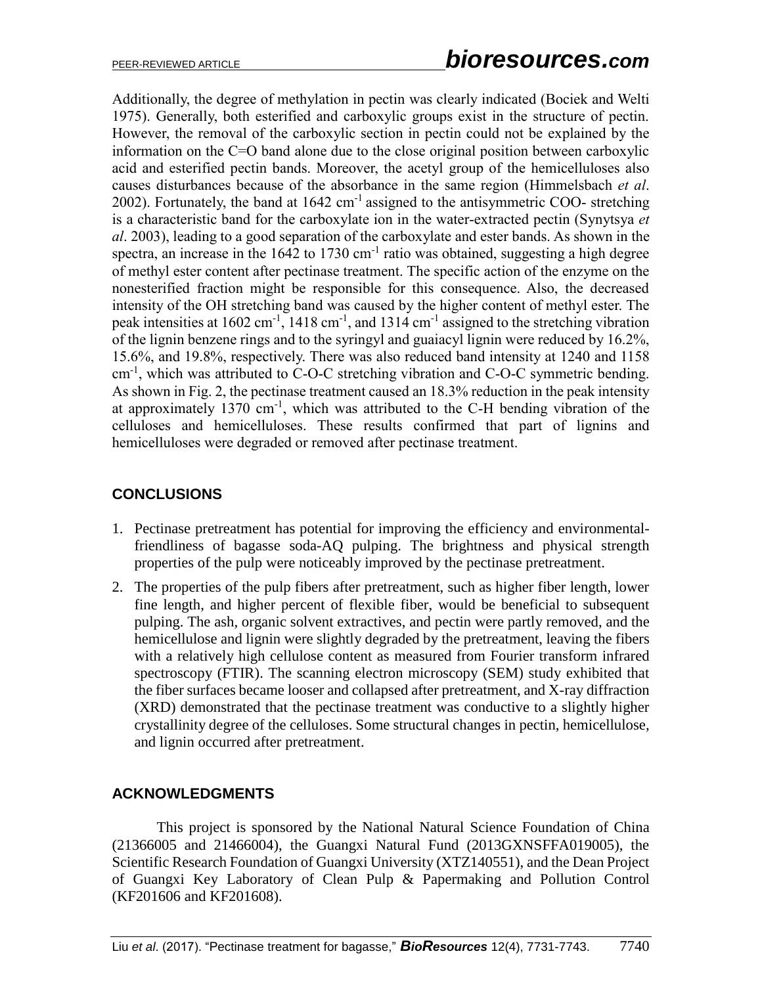Additionally, the degree of methylation in pectin was clearly indicated (Bociek and Welti 1975). Generally, both esterified and carboxylic groups exist in the structure of pectin. However, the removal of the carboxylic section in pectin could not be explained by the information on the C=O band alone due to the close original position between carboxylic acid and esterified pectin bands. Moreover, the acetyl group of the hemicelluloses also causes disturbances because of the absorbance in the same region [\(Himmelsbach](#page-10-11) *et al*. [2002\)](#page-10-11). Fortunately, the band at  $1642 \text{ cm}^{-1}$  assigned to the antisymmetric COO- stretching is a characteristic band for the carboxylate ion in the water-extracted pectin [\(Synytsya](#page-12-6) *et al*[. 2003\)](#page-12-6), leading to a good separation of the carboxylate and ester bands. As shown in the spectra, an increase in the 1642 to 1730 cm<sup>-1</sup> ratio was obtained, suggesting a high degree of methyl ester content after pectinase treatment. The specific action of the enzyme on the nonesterified fraction might be responsible for this consequence. Also, the decreased intensity of the OH stretching band was caused by the higher content of methyl ester. The peak intensities at 1602 cm<sup>-1</sup>, 1418 cm<sup>-1</sup>, and 1314 cm<sup>-1</sup> assigned to the stretching vibration of the lignin benzene rings and to the syringyl and guaiacyl lignin were reduced by 16.2%, 15.6%, and 19.8%, respectively. There was also reduced band intensity at 1240 and 1158 cm<sup>-1</sup>, which was attributed to C-O-C stretching vibration and C-O-C symmetric bending. As shown in Fig. 2, the pectinase treatment caused an 18.3% reduction in the peak intensity at approximately  $1370 \text{ cm}^{-1}$ , which was attributed to the C-H bending vibration of the celluloses and hemicelluloses. These results confirmed that part of lignins and hemicelluloses were degraded or removed after pectinase treatment.

## **CONCLUSIONS**

- 1. Pectinase pretreatment has potential for improving the efficiency and environmentalfriendliness of bagasse soda-AQ pulping. The brightness and physical strength properties of the pulp were noticeably improved by the pectinase pretreatment.
- 2. The properties of the pulp fibers after pretreatment, such as higher fiber length, lower fine length, and higher percent of flexible fiber, would be beneficial to subsequent pulping. The ash, organic solvent extractives, and pectin were partly removed, and the hemicellulose and lignin were slightly degraded by the pretreatment, leaving the fibers with a relatively high cellulose content as measured from Fourier transform infrared spectroscopy (FTIR). The scanning electron microscopy (SEM) study exhibited that the fiber surfaces became looser and collapsed after pretreatment, and X-ray diffraction (XRD) demonstrated that the pectinase treatment was conductive to a slightly higher crystallinity degree of the celluloses. Some structural changes in pectin, hemicellulose, and lignin occurred after pretreatment.

## **ACKNOWLEDGMENTS**

This project is sponsored by the National Natural Science Foundation of China (21366005 and 21466004), the Guangxi Natural Fund (2013GXNSFFA019005), the Scientific Research Foundation of Guangxi University (XTZ140551), and the Dean Project of Guangxi Key Laboratory of Clean Pulp & Papermaking and Pollution Control (KF201606 and KF201608).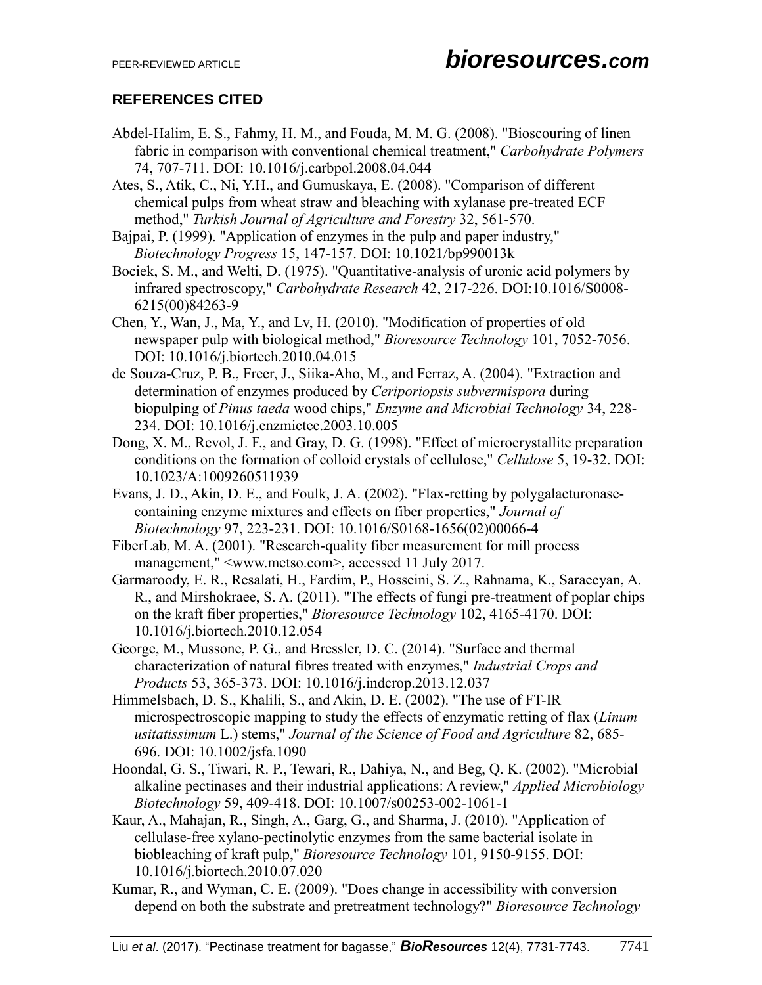## **REFERENCES CITED**

- Abdel-Halim, E. S., Fahmy, H. M., and Fouda, M. M. G. (2008). "Bioscouring of linen fabric in comparison with conventional chemical treatment," *Carbohydrate Polymers* 74, 707-711. DOI: [10.1016/j.carbpol.2008.04.044](http://dx.doi.org/10.1016/j.carbpol.2008.04.044)
- <span id="page-10-0"></span>Ates, S., Atik, C., Ni, Y.H., and Gumuskaya, E. (2008). "Comparison of different chemical pulps from wheat straw and bleaching with xylanase pre-treated ECF method," *Turkish Journal of Agriculture and Forestry* 32, 561-570.
- Bajpai, P. (1999). "Application of enzymes in the pulp and paper industry," *Biotechnology Progress* 15, 147-157. DOI: [10.1021/bp990013k](http://dx.doi.org/10.1021/bp990013k)
- Bociek, S. M., and Welti, D. (1975). "Quantitative-analysis of uronic acid polymers by infrared spectroscopy," *Carbohydrate Research* 42, 217-226. DOI[:10.1016/S0008-](http://dx.doi.org/10.1016/S0008-6215(00)84263-9) [6215\(00\)84263-9](http://dx.doi.org/10.1016/S0008-6215(00)84263-9)
- <span id="page-10-2"></span>Chen, Y., Wan, J., Ma, Y., and Lv, H. (2010). "Modification of properties of old newspaper pulp with biological method," *Bioresource Technology* 101, 7052-7056. DOI: [10.1016/j.biortech.2010.04.015](http://dx.doi.org/10.1016/j.biortech.2010.04.015)
- <span id="page-10-3"></span>de Souza-Cruz, P. B., Freer, J., Siika-Aho, M., and Ferraz, A. (2004). "Extraction and determination of enzymes produced by *Ceriporiopsis subvermispora* during biopulping of *Pinus taeda* wood chips," *Enzyme and Microbial Technology* 34, 228- 234. DOI: [10.1016/j.enzmictec.2003.10.005](http://dx.doi.org/10.1016/j.enzmictec.2003.10.005)
- <span id="page-10-10"></span>Dong, X. M., Revol, J. F., and Gray, D. G. (1998). "Effect of microcrystallite preparation conditions on the formation of colloid crystals of cellulose," *Cellulose* 5, 19-32. DOI: [10.1023/A:1009260511939](http://dx.doi.org/10.1023/A:1009260511939)
- <span id="page-10-5"></span>Evans, J. D., Akin, D. E., and Foulk, J. A. (2002). "Flax-retting by polygalacturonasecontaining enzyme mixtures and effects on fiber properties," *Journal of Biotechnology* 97, 223-231. DOI: [10.1016/S0168-1656\(02\)00066-4](http://dx.doi.org/10.1016/S0168-1656(02)00066-4)
- <span id="page-10-7"></span>FiberLab, M. A. (2001). "Research-quality fiber measurement for mill process management," <www.metso.com>, accessed 11 July 2017.
- <span id="page-10-8"></span>Garmaroody, E. R., Resalati, H., Fardim, P., Hosseini, S. Z., Rahnama, K., Saraeeyan, A. R., and Mirshokraee, S. A. (2011). "The effects of fungi pre-treatment of poplar chips on the kraft fiber properties," *Bioresource Technology* 102, 4165-4170. DOI: [10.1016/j.biortech.2010.12.054](http://dx.doi.org/10.1016/j.biortech.2010.12.054)
- <span id="page-10-9"></span>George, M., Mussone, P. G., and Bressler, D. C. (2014). "Surface and thermal characterization of natural fibres treated with enzymes," *Industrial Crops and Products* 53, 365-373. DOI: [10.1016/j.indcrop.2013.12.037](http://dx.doi.org/10.1016/j.indcrop.2013.12.037)
- <span id="page-10-11"></span>Himmelsbach, D. S., Khalili, S., and Akin, D. E. (2002). "The use of FT-IR microspectroscopic mapping to study the effects of enzymatic retting of flax (*Linum usitatissimum* L.) stems," *Journal of the Science of Food and Agriculture* 82, 685- 696. DOI: [10.1002/jsfa.1090](http://dx.doi.org/10.1002/jsfa.1090)
- <span id="page-10-4"></span>Hoondal, G. S., Tiwari, R. P., Tewari, R., Dahiya, N., and Beg, Q. K. (2002). "Microbial alkaline pectinases and their industrial applications: A review," *Applied Microbiology Biotechnology* 59, 409-418. DOI: [10.1007/s00253-002-1061-1](http://dx.doi.org/10.1007/s00253-002-1061-1)
- <span id="page-10-1"></span>Kaur, A., Mahajan, R., Singh, A., Garg, G., and Sharma, J. (2010). "Application of cellulase-free xylano-pectinolytic enzymes from the same bacterial isolate in biobleaching of kraft pulp," *Bioresource Technology* 101, 9150-9155. DOI: [10.1016/j.biortech.2010.07.020](http://dx.doi.org/10.1016/j.biortech.2010.07.020)
- <span id="page-10-6"></span>Kumar, R., and Wyman, C. E. (2009). "Does change in accessibility with conversion depend on both the substrate and pretreatment technology?" *Bioresource Technology*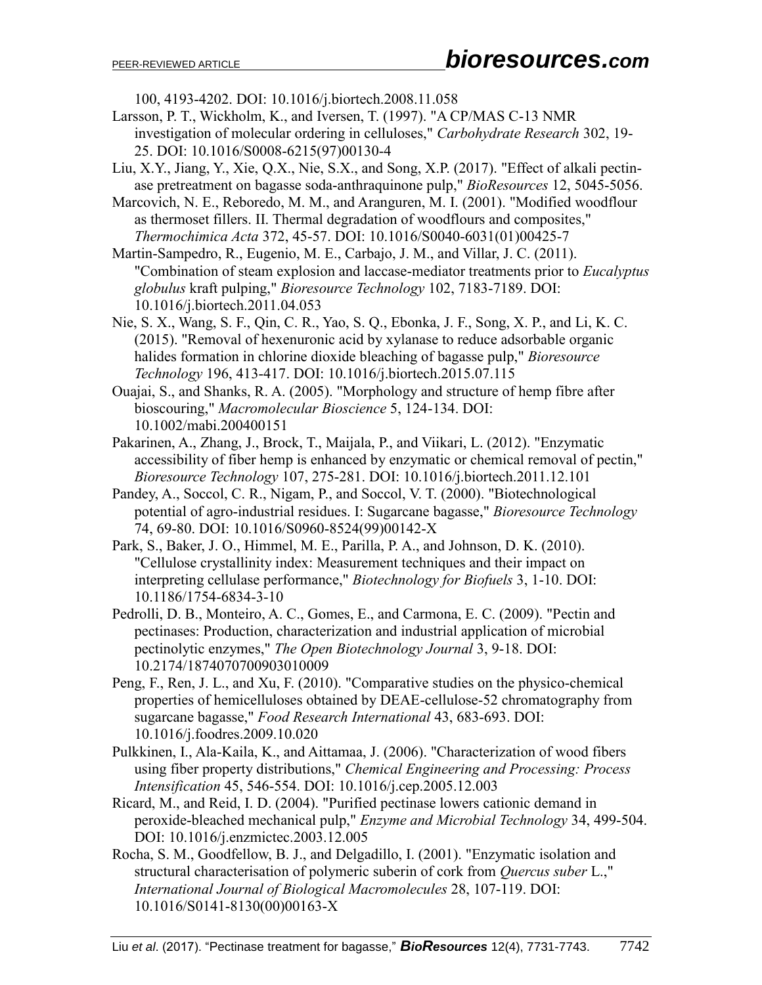100, 4193-4202. DOI: [10.1016/j.biortech.2008.11.058](http://dx.doi.org/10.1016/j.biortech.2008.11.058)

- <span id="page-11-8"></span>Larsson, P. T., Wickholm, K., and Iversen, T. (1997). "A CP/MAS C-13 NMR investigation of molecular ordering in celluloses," *Carbohydrate Research* 302, 19- 25. DOI: [10.1016/S0008-6215\(97\)00130-4](http://dx.doi.org/10.1016/S0008-6215(97)00130-4)
- Liu, X.Y., Jiang, Y., Xie, Q.X., Nie, S.X., and Song, X.P. (2017). "Effect of alkali pectinase pretreatment on bagasse soda-anthraquinone pulp," *BioResources* 12, 5045-5056.

<span id="page-11-7"></span>Marcovich, N. E., Reboredo, M. M., and Aranguren, M. I. (2001). "Modified woodflour as thermoset fillers. II. Thermal degradation of woodflours and composites," *Thermochimica Acta* 372, 45-57. DOI: [10.1016/S0040-6031\(01\)00425-7](http://dx.doi.org/10.1016/S0040-6031(01)00425-7)

<span id="page-11-1"></span>Martin-Sampedro, R., Eugenio, M. E., Carbajo, J. M., and Villar, J. C. (2011). "Combination of steam explosion and laccase-mediator treatments prior to *Eucalyptus globulus* kraft pulping," *Bioresource Technology* 102, 7183-7189. DOI: [10.1016/j.biortech.2011.04.053](http://dx.doi.org/10.1016/j.biortech.2011.04.053)

Nie, S. X., Wang, S. F., Qin, C. R., Yao, S. Q., Ebonka, J. F., Song, X. P., and Li, K. C. (2015). "Removal of hexenuronic acid by xylanase to reduce adsorbable organic halides formation in chlorine dioxide bleaching of bagasse pulp," *Bioresource Technology* 196, 413-417. DOI: [10.1016/j.biortech.2015.07.115](http://dx.doi.org/10.1016/j.biortech.2015.07.115)

<span id="page-11-11"></span>Ouajai, S., and Shanks, R. A. (2005). "Morphology and structure of hemp fibre after bioscouring," *Macromolecular Bioscience* 5, 124-134. DOI: [10.1002/mabi.200400151](http://dx.doi.org/10.1002/mabi.200400151)

- <span id="page-11-3"></span>Pakarinen, A., Zhang, J., Brock, T., Maijala, P., and Viikari, L. (2012). "Enzymatic accessibility of fiber hemp is enhanced by enzymatic or chemical removal of pectin," *Bioresource Technology* 107, 275-281. DOI: [10.1016/j.biortech.2011.12.101](http://dx.doi.org/10.1016/j.biortech.2011.12.101)
- <span id="page-11-0"></span>Pandey, A., Soccol, C. R., Nigam, P., and Soccol, V. T. (2000). "Biotechnological potential of agro-industrial residues. I: Sugarcane bagasse," *Bioresource Technology* 74, 69-80. DOI: [10.1016/S0960-8524\(99\)00142-X](http://dx.doi.org/10.1016/S0960-8524(99)00142-X)
- <span id="page-11-6"></span>Park, S., Baker, J. O., Himmel, M. E., Parilla, P. A., and Johnson, D. K. (2010). "Cellulose crystallinity index: Measurement techniques and their impact on interpreting cellulase performance," *Biotechnology for Biofuels* 3, 1-10. DOI: [10.1186/1754-6834-3-10](http://dx.doi.org/10.1186/1754-6834-3-10)
- <span id="page-11-2"></span>Pedrolli, D. B., Monteiro, A. C., Gomes, E., and Carmona, E. C. (2009). "Pectin and pectinases: Production, characterization and industrial application of microbial pectinolytic enzymes," *The Open Biotechnology Journal* 3, 9-18. DOI: [10.2174/1874070700903010009](http://dx.doi.org/10.2174/1874070700903010009)
- <span id="page-11-10"></span>Peng, F., Ren, J. L., and Xu, F. (2010). "Comparative studies on the physico-chemical properties of hemicelluloses obtained by DEAE-cellulose-52 chromatography from sugarcane bagasse," *Food Research International* 43, 683-693. DOI: [10.1016/j.foodres.2009.10.020](http://dx.doi.org/10.1016/j.foodres.2009.10.020)
- <span id="page-11-4"></span>Pulkkinen, I., Ala-Kaila, K., and Aittamaa, J. (2006). "Characterization of wood fibers using fiber property distributions," *Chemical Engineering and Processing: Process Intensification* 45, 546-554. DOI: [10.1016/j.cep.2005.12.003](http://dx.doi.org/10.1016/j.cep.2005.12.003)
- <span id="page-11-5"></span>Ricard, M., and Reid, I. D. (2004). "Purified pectinase lowers cationic demand in peroxide-bleached mechanical pulp," *Enzyme and Microbial Technology* 34, 499-504. DOI: [10.1016/j.enzmictec.2003.12.005](http://dx.doi.org/10.1016/j.enzmictec.2003.12.005)
- <span id="page-11-9"></span>Rocha, S. M., Goodfellow, B. J., and Delgadillo, I. (2001). "Enzymatic isolation and structural characterisation of polymeric suberin of cork from *Quercus suber* L.," *International Journal of Biological Macromolecules* 28, 107-119. DOI: [10.1016/S0141-8130\(00\)00163-X](http://dx.doi.org/10.1016/S0141-8130(00)00163-X)